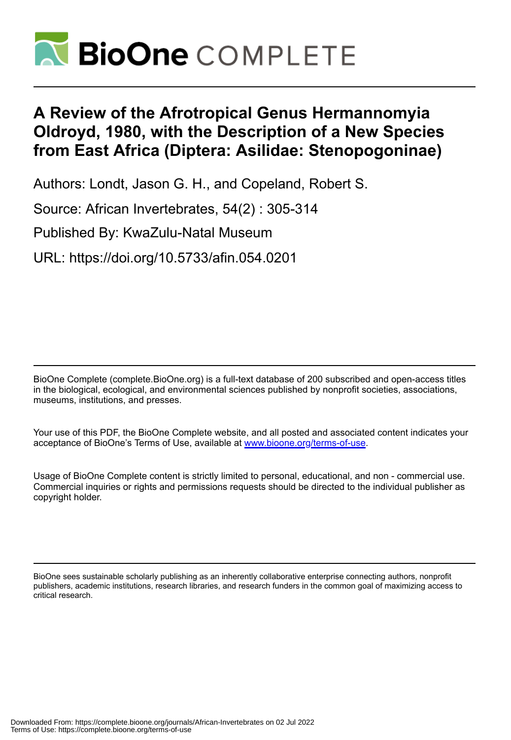

# **A Review of the Afrotropical Genus Hermannomyia Oldroyd, 1980, with the Description of a New Species from East Africa (Diptera: Asilidae: Stenopogoninae)**

Authors: Londt, Jason G. H., and Copeland, Robert S.

Source: African Invertebrates, 54(2) : 305-314

Published By: KwaZulu-Natal Museum

URL: https://doi.org/10.5733/afin.054.0201

BioOne Complete (complete.BioOne.org) is a full-text database of 200 subscribed and open-access titles in the biological, ecological, and environmental sciences published by nonprofit societies, associations, museums, institutions, and presses.

Your use of this PDF, the BioOne Complete website, and all posted and associated content indicates your acceptance of BioOne's Terms of Use, available at www.bioone.org/terms-of-use.

Usage of BioOne Complete content is strictly limited to personal, educational, and non - commercial use. Commercial inquiries or rights and permissions requests should be directed to the individual publisher as copyright holder.

BioOne sees sustainable scholarly publishing as an inherently collaborative enterprise connecting authors, nonprofit publishers, academic institutions, research libraries, and research funders in the common goal of maximizing access to critical research.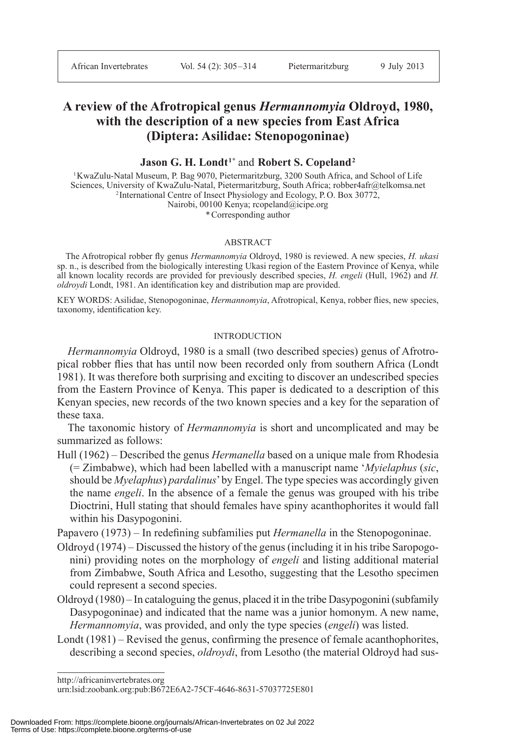## **A review of the Afrotropical genus** *Hermannomyia* **Oldroyd, 1980, with the description of a new species from East Africa (Diptera: Asilidae: Stenopogoninae)**

## Jason G. H. Londt<sup>1\*</sup> and Robert S. Copeland<sup>2</sup>

<sup>1</sup> KwaZulu-Natal Museum, P. Bag 9070, Pietermaritzburg, 3200 South Africa, and School of Life Sciences, University of KwaZulu-Natal, Pietermaritzburg, South Africa; robber4afr@telkomsa.net 2 International Centre of Insect Physiology and Ecology, P. O. Box 30772, Nairobi, 00100 Kenya; rcopeland@icipe.org

\* Corresponding author

## ABSTRACT

The Afrotropical robber fly genus *Hermannomyia* Oldroyd, 1980 is reviewed. A new species, *H. ukasi* sp. n., is described from the biologically interesting Ukasi region of the Eastern Province of Kenya, while all known locality records are provided for previously described species, *H. engeli* (Hull, 1962) and *H. oldroydi* Londt, 1981. An identification key and distribution map are provided.

KEY WORDS: Asilidae, Stenopogoninae, *Hermannomyia*, Afrotropical, Kenya, robber flies, new species, taxonomy, identification key.

### INTRODUCTION

*Hermannomyia* Oldroyd, 1980 is a small (two described species) genus of Afrotropical robber flies that has until now been recorded only from southern Africa (Londt 1981). It was therefore both surprising and exciting to discover an undescribed species from the Eastern Province of Kenya. This paper is dedicated to a description of this Kenyan species, new records of the two known species and a key for the separation of these taxa.

The taxonomic history of *Hermannomyia* is short and uncomplicated and may be summarized as follows:

Hull (1962) – Described the genus *Hermanella* based on a unique male from Rhodesia (= Zimbabwe), which had been labelled with a manuscript name '*Myielaphus* (*sic*, should be *Myelaphus*) *pardalinus*' by Engel. The type species was accordingly given the name *engeli*. In the absence of a female the genus was grouped with his tribe Dioctrini, Hull stating that should females have spiny acanthophorites it would fall within his Dasypogonini.

Papavero (1973) – In redefining subfamilies put *Hermanella* in the Stenopogoninae.

- Oldroyd (1974) Discussed the history of the genus (including it in his tribe Saropogonini) providing notes on the morphology of *engeli* and listing additional material from Zimbabwe, South Africa and Lesotho, suggesting that the Lesotho specimen could represent a second species.
- Oldroyd (1980) In cataloguing the genus, placed it in the tribe Dasypogonini (subfamily Dasypogoninae) and indicated that the name was a junior homonym. A new name, *Hermannomyia*, was provided, and only the type species (*engeli*) was listed.
- Londt (1981) Revised the genus, confirming the presence of female acanthophorites, describing a second species, *oldroydi*, from Lesotho (the material Oldroyd had sus-

http://africaninvertebrates.org

http://africaninvertebrates.org<br>urn:lsid:zoobank.org:pub:B672E6A2-75CF-4646-8631-57037725E801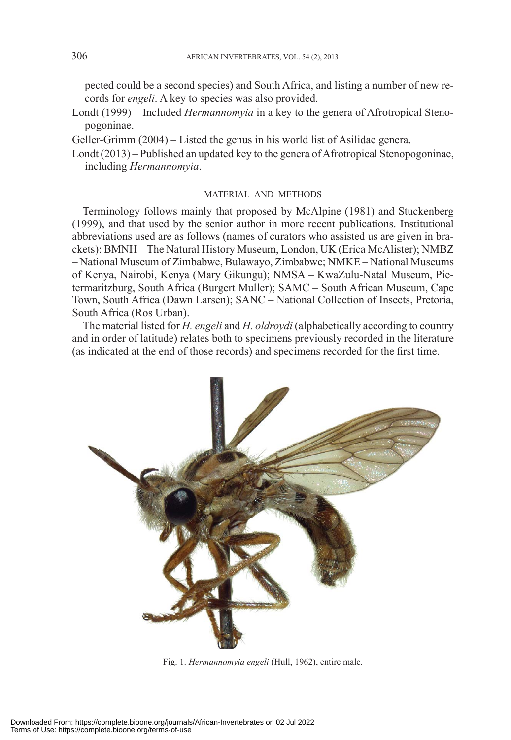pec ted could be a second species) and South Africa, and listing a number of new records for *engeli*. A key to species was also provided.

Londt (1999) – Included *Hermannomyia* in a key to the genera of Afrotropical Stenopogoninae.

Geller-Grimm (2004) – Listed the genus in his world list of Asilidae genera.

Londt (2013) – Published an updated key to the genera of Afrotropical Stenopogoninae, including *Hermannomyia*.

### MATERIAL AND METHODS

Terminology follows mainly that proposed by McAlpine (1981) and Stuckenberg (1999), and that used by the senior author in more recent publications. Institutional abbreviations used are as follows (names of curators who assisted us are given in brackets): BMNH – The Natural History Museum, London, UK (Erica McAlister); NMBZ – National Museum of Zimbabwe, Bulawayo, Zimbabwe; NMKE – National Museums of Kenya, Nairobi, Kenya (Mary Gikungu); NMSA – KwaZulu-Natal Museum, Pietermaritzburg, South Africa (Burgert Muller); SAMC - South African Museum, Cape Town, South Africa (Dawn Larsen); SANC – National Collection of Insects, Pretoria, South Africa (Ros Urban).

The material listed for *H. engeli* and *H. oldroydi* (alphabetically according to country and in order of latitude) relates both to specimens previously recorded in the literature (as indicated at the end of those records) and specimens recorded for the first time.



Fig. 1. *Hermannomyia engeli* (Hull, 1962), entire male.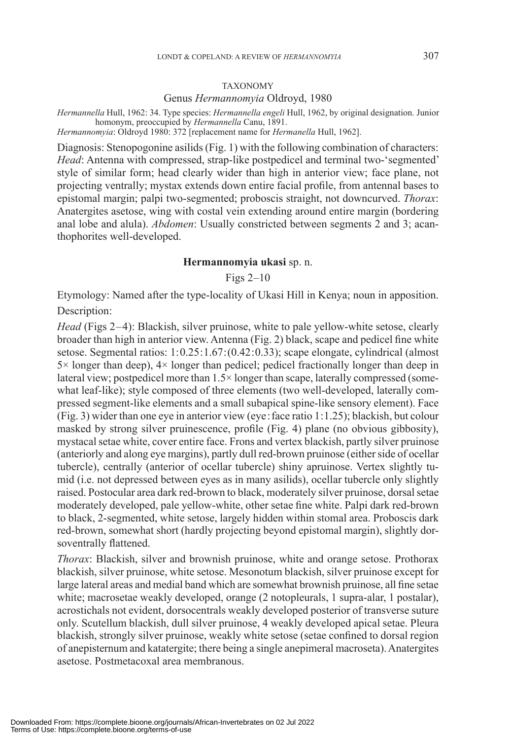#### TAXONOMY

#### Genus *Hermannomyia* Oldroyd, 1980

*Hermannella* Hull, 1962: 34. Type species: *Hermannella engeli* Hull, 1962, by original designation. Junior homonym, preoccupied by *Hermannella* Canu, 1891.

*Hermannomyia*: Oldroyd 1980: 372 [replacement name for *Hermanella* Hull, 1962].

Diagnosis: Stenopogonine asilids (Fig. 1) with the following combination of characters: *Head*: Antenna with compressed, strap-like postpedicel and terminal two-'segmented' style of similar form; head clearly wider than high in anterior view; face plane, not projecting ventrally; mystax extends down entire facial profile, from antennal bases to epistomal margin; palpi two-segmented; proboscis straight, not downcurved. *Thorax*: Anatergites asetose, wing with costal vein extending around entire margin (bordering anal lobe and alula). *Abdomen*: Usually constricted between segments 2 and 3; acanthophorites well-developed.

## **Hermannomyia ukasi** sp. n.

Figs 2–10

Etymology: Named after the type-locality of Ukasi Hill in Kenya; noun in apposition. Description:

*Head* (Figs 2–4): Blackish, silver pruinose, white to pale yellow-white setose, clearly broader than high in anterior view. Antenna (Fig. 2) black, scape and pedicel fine white setose. Segmental ratios: 1:0.25:1.67:(0.42:0.33); scape elongate, cylindrical (almost  $5 \times$  longer than deep),  $4 \times$  longer than pedicel; pedicel fractionally longer than deep in lateral view; postpedicel more than 1.5× longer than scape, laterally compressed (somewhat leaf-like); style composed of three elements (two well-developed, laterally compressed segment-like elements and a small subapical spine-like sensory element). Face (Fig. 3) wider than one eye in anterior view (eye:face ratio 1:1.25); blackish, but colour masked by strong silver pruinescence, profile (Fig. 4) plane (no obvious gibbosity), mys tacal setae white, cover entire face. Frons and vertex blackish, partly silver pruinose (anteriorly and along eye margins), partly dull red-brown pruinose (either side of ocellar tubercle), centrally (anterior of ocellar tubercle) shiny apruinose. Vertex slightly tumid (i.e. not depressed between eyes as in many asilids), ocellar tubercle only slightly raised. Postocular area dark red-brown to black, moderately silver pruinose, dorsal setae moderately developed, pale yellow-white, other setae fine white. Palpi dark red-brown to black, 2-segmented, white setose, largely hidden within stomal area. Proboscis dark red-brown, somewhat short (hardly projecting beyond epistomal margin), slightly dorsoventrally flattened.

*Thorax*: Blackish, silver and brownish pruinose, white and orange setose. Prothorax black ish, silver pruinose, white setose. Mesonotum blackish, silver pruinose except for large lateral areas and medial band which are somewhat brownish pruinose, all fine setae white; macrosetae weakly developed, orange (2 notopleurals, 1 supra-alar, 1 postalar), acrostichals not evident, dorsocentrals weakly developed posterior of transverse suture only. Scutellum blackish, dull silver pruinose, 4 weakly developed apical setae. Pleura blackish, strongly silver pruinose, weakly white setose (setae confined to dorsal region of anepisternum and katatergite; there being a single anepimeral macroseta). Anatergites asetose. Postmetacoxal area membranous.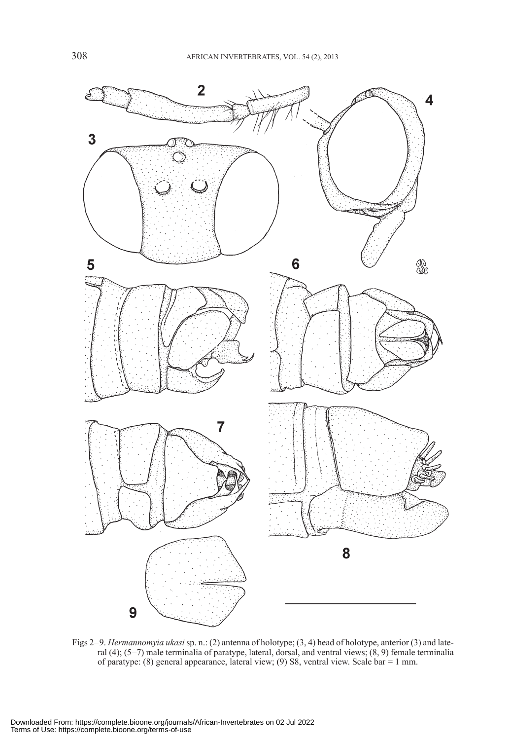

Figs 2–9. *Hermannomyia ukasi* sp. n.: (2) antenna of holotype; (3, 4) head of holotype, anterior (3) and lateral (4); (5–7) male terminalia of paratype, lateral, dorsal, and ventral views; (8, 9) female terminalia of paratype: (8) general appearance, lateral view; (9) S8, ventral view. Scale bar = 1 mm.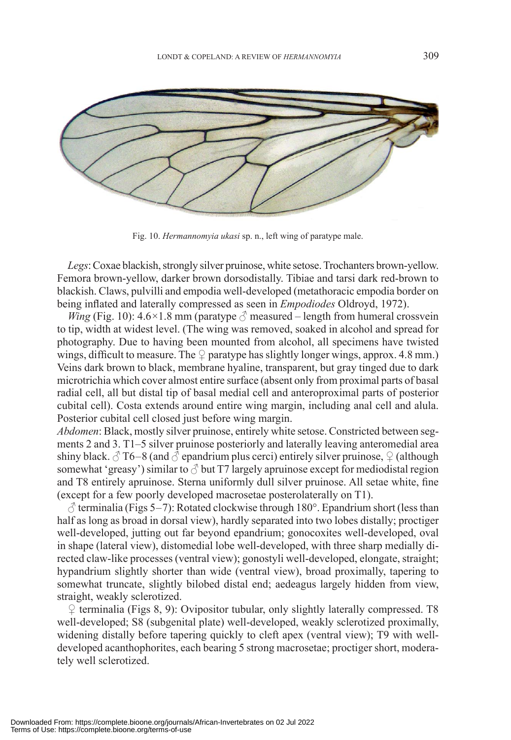

Fig. 10. *Hermannomyia ukasi* sp. n., left wing of paratype male.

*Legs*: Coxae blackish, strongly silver pruinose, white setose. Trochanters brown-yellow. Femora brown-yellow, darker brown dorsodistally. Tibiae and tarsi dark red-brown to blackish. Claws, pulvilli and empodia well-developed (metathoracic empodia border on being inflated and laterally compressed as seen in *Empodiodes* Oldroyd, 1972).

*Wing* (Fig. 10):  $4.6 \times 1.8$  mm (paratype  $\beta$  measured – length from humeral crossvein to tip, width at widest level. (The wing was removed, soaked in alcohol and spread for photography. Due to having been mounted from alcohol, all specimens have twisted wings, difficult to measure. The  $\mathcal Q$  paratype has slightly longer wings, approx. 4.8 mm.) Veins dark brown to black, membrane hyaline, transparent, but gray tinged due to dark microtrichia which cover almost entire surface (absent only from proximal parts of ba sal radial cell, all but distal tip of basal medial cell and anteroproximal parts of posterior cubital cell). Costa extends around entire wing margin, including anal cell and alula. Posterior cubital cell closed just before wing margin.

*Abdomen*: Black, mostly silver pruinose, entirely white setose. Constricted between segments 2 and 3. T1–5 silver pruinose posteriorly and laterally leaving anteromedial area shiny black.  $\Diamond$  T6–8 (and  $\Diamond$  epandrium plus cerci) entirely silver pruinose,  $\Diamond$  (although somewhat 'greasy') similar to  $\beta$  but T7 largely apruinose except for mediodistal region and T8 entirely apruinose. Sterna uniformly dull silver pruinose. All setae white, fine (ex cept for a few poorly developed macrosetae posterolaterally on T1).

 $\hat{\circ}$  terminalia (Figs 5–7): Rotated clockwise through 180°. Epandrium short (less than half as long as broad in dorsal view), hardly separated into two lobes distally; proctiger well-developed, jutting out far beyond epandrium; gonocoxites well-developed, oval in shape (lateral view), distomedial lobe well-developed, with three sharp medially directed claw-like processes (ventral view); gonostyli well-developed, elongate, straight; hypandrium slightly shorter than wide (ventral view), broad proximally, tapering to some what truncate, slightly bilobed distal end; aedeagus largely hidden from view, straight, weakly sclerotized.

 $\circ$  terminalia (Figs 8, 9): Ovipositor tubular, only slightly laterally compressed. T8 well-developed; S8 (subgenital plate) well-developed, weakly sclerotized proximally, widening distally before tapering quickly to cleft apex (ventral view); T9 with welldeveloped acanthophorites, each bearing 5 strong macrosetae; proctiger short, moderately well sclerotized.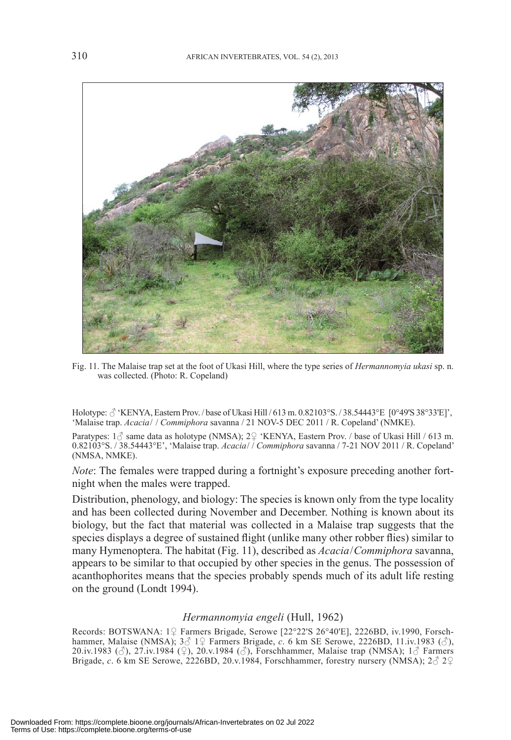

Fig. 11. The Malaise trap set at the foot of Ukasi Hill, where the type series of *Hermannomyia ukasi* sp. n. was collected. (Photo: R. Copeland)

Holotype: ♂ 'KENYA, Eastern Prov. / base of Ukasi Hill / 613 m. 0.82103°S. / 38.54443°E [0°49'S 38°33'E]', 'Malaise trap. *Acacia*/ / *Commiphora* savanna / 21 NOV-5 DEC 2011 / R. Copeland' (NMKE).

Paratypes: 1♂ same data as holotype (NMSA); 2♀ 'KENYA, Eastern Prov. / base of Ukasi Hill / 613 m. 0.82103°S. / 38.54443°E', 'Malaise trap. *Acacia*/ / *Commiphora* savanna / 7-21 NOV 2011 / R. Copeland' (NMSA, NMKE).

*Note*: The females were trapped during a fortnight's exposure preceding another fortnight when the males were trapped.

Distribution, phenology, and biology: The species is known only from the type locality and has been collected during November and December. Nothing is known about its biology, but the fact that material was collected in a Malaise trap suggests that the species displays a degree of sustained flight (unlike many other robber flies) similar to ma ny Hymenoptera. The habitat (Fig. 11), described as *Acacia*/*Commiphora* savanna, ap pears to be similar to that occupied by other species in the genus. The possession of acan thophorites means that the species probably spends much of its adult life resting on the ground (Londt 1994).

#### *Hermannomyia engeli* (Hull, 1962)

Records: BOTSWANA: 1♀ Farmers Brigade, Serowe [22°22'S 26°40'E], 2226BD, iv.1990, Forschhammer, Malaise (NMSA); 3♂ 1♀ Farmers Brigade, *c*. 6 km SE Serowe, 2226BD, 11.iv.1983 (♂), 20.iv.1983 ( $\Im$ ), 27.iv.1984 ( $\Im$ ), 20.v.1984 ( $\Im$ ), Forschhammer, Malaise trap (NMSA); 1 $\Im$  Farmers Brigade, *c*. 6 km SE Serowe, 2226BD, 20.v.1984, Forschhammer, forestry nursery (NMSA); 2 $\beta$  2 $\beta$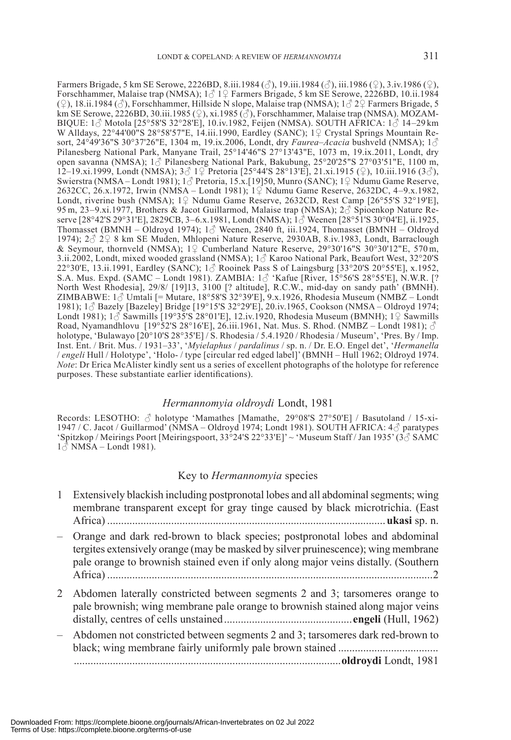Farmers Brigade, 5 km SE Serowe, 2226BD, 8.iii.1984 (♂), 19.iii.1984 (♂), iii.1986 (♀), 3.iv.1986 (♀), Forschhammer, Malaise trap (NMSA); 1♂ 1♀ Farmers Brigade, 5 km SE Serowe, 2226BD, 10.ii.1984 (♀), 18.ii.1984 (♂), Forschhammer, Hillside N slope, Malaise trap (NMSA); 1♂ 2♀ Farmers Brigade, 5 km SE Serowe, 2226BD, 30.iii.1985 (♀), xi.1985 (♂), Forschhammer, Malaise trap (NMSA). MOZAM-BIQUE: 1♂ Motola [25°58'S 32°28'E], 10.iv.1982, Feijen (NMSA). SOUTH AFRICA: 1♂ 14–29 km W Alldays, 22°44'00"S 28°58'57"E, 14.iii.1990, Eardley (SANC); 1♀ Crystal Springs Mountain Resort, 24°49'36"S 30°37'26"E, 1304 m, 19.ix.2006, Londt, dry *Faurea–Acacia* bushveld (NMSA); 1♂ Pilanesberg National Park, Manyane Trail, 25°14'46"S 27°13'43"E, 1073 m, 19.ix.2011, Londt, dry open savanna (NMSA); 1♂ Pilanesberg National Park, Bakubung, 25°20'25"S 27°03'51"E, 1100 m, 12–19.xi.1999, Londt (NMSA);  $3\delta$  1♀ Pretoria [25°44'S 28°13'E], 21.xi.1915 (♀), 10.iii.1916 (3 $\delta$ ), Swierstra (NMSA – Londt 1981); 1♂ Pretoria, 15.x.[19]50, Munro (SANC); 1♀ Ndumu Game Reserve, 2632CC, 26.x.1972, Irwin (NMSA – Londt 1981); 1♀ Ndumu Game Reserve, 2632DC, 4–9.x.1982, Londt, riverine bush (NMSA); 1♀ Ndumu Game Reserve, 2632CD, Rest Camp [26°55'S 32°19'E], 95 m, 23–9.xi.1977, Brothers & Jacot Guillarmod, Malaise trap (NMSA); 2♂ Spioenkop Nature Reserve [28°42'S 29°31'E], 2829CB, 3–6.x.1981, Londt (NMSA); 1♂ Weenen [28°51'S 30°04'E], ii.1925, Thomasset (BMNH – Oldroyd 1974);  $1\delta$  Weenen, 2840 ft, iii.1924, Thomasset (BMNH – Oldroyd 1974); 2♂ 2♀ 8 km SE Muden, Mhlopeni Nature Reserve, 2930AB, 8.iv.1983, Londt, Barraclough & Seymour, thornveld (NMSA); 1♀ Cumberland Nature Reserve, 29°30'16"S 30°30'12"E, 570 m, 3.ii.2002, Londt, mixed wooded grassland (NMSA); 1♂ Karoo National Park, Beaufort West, 32°20'S 22°30'E, 13.ii.1991, Eardley (SANC); 1♂ Rooinek Pass S of Laingsburg [33°20'S 20°55'E], x.1952, S.A. Mus. Expd. (SAMC – Londt 1981). ZAMBIA:  $1\delta$  'Kafue [River, 15°56'S 28°55'E], N.W.R. [?] North West Rhodesia], 29/8/ [19]13, 3100 [? altitude], R.C.W., mid-day on sandy path' (BMNH). ZIM BABWE: 1♂ Umtali [= Mu tare, 18°58'S 32°39'E], 9.x.1926, Rhodesia Museum (NMBZ – Londt 1981); 1♂ Bazely [Bazeley] Bridge [19°15'S 32°29'E], 20.iv.1965, Cookson (NMSA – Oldroyd 1974; Londt 1981);  $1\overrightarrow{\delta}$  Sawmills [19°35'S 28°01'E], 12.iv.1920, Rhodesia Museum (BMNH); 1♀ Sawmills Road, Nyamandhlovu [19°52'S 28°16'E], 26.iii.1961, Nat. Mus. S. Rhod. (NMBZ – Londt 1981);  $\circ$ holotype, 'Bulawayo [20°10'S 28°35'E] / S. Rhodesia / 5.4.1920 / Rhodesia / Museum', 'Pres. By / Imp. Inst. Ent. / Brit. Mus. / 1931–33', '*Myielaphus* / *pardalinus* / sp. n. / Dr. E.O. Engel det', '*Hermanella* / *engeli* Hull / Holotype', 'Holo- / type [circular red edged label]' (BMNH – Hull 1962; Oldroyd 1974. *Note*: Dr Erica McAlister kindly sent us a series of excellent photographs of the holotype for reference purposes. These substantiate earlier identifications).

### *Hermannomyia oldroydi* Londt, 1981

Records: LESOTHO:  $\triangle$  holotype 'Mamathes [Mamathe, 29°08'S 27°50'E] / Basutoland / 15-xi-1947 / C. Jacot / Guillarmod' (NMSA – Oldroyd 1974; Londt 1981). SOUTH AFRICA: 4♂ paratypes 'Spitzkop / Meirings Poort [Meiringspoort, 33°24'S 22°33'E]' ~ 'Museum Staff / Jan 1935' (3♂ SAMC  $1\overrightarrow{6}$  NMSA – Londt 1981).

## Key to *Hermannomyia* species

| 1 | Extensively blackish including postpronotal lobes and all abdominal segments; wing<br>membrane transparent except for gray tinge caused by black microtrichia. (East                                                                                    |
|---|---------------------------------------------------------------------------------------------------------------------------------------------------------------------------------------------------------------------------------------------------------|
|   | Orange and dark red-brown to black species; postpronotal lobes and abdominal<br>tergites extensively orange (may be masked by silver pruinescence); wing membrane<br>pale orange to brownish stained even if only along major veins distally. (Southern |
|   | Abdomen laterally constricted between segments 2 and 3; tarsomeres orange to<br>pale brownish; wing membrane pale orange to brownish stained along major veins                                                                                          |
|   | Abdomen not constricted between segments 2 and 3; tarsomeres dark red-brown to                                                                                                                                                                          |
|   |                                                                                                                                                                                                                                                         |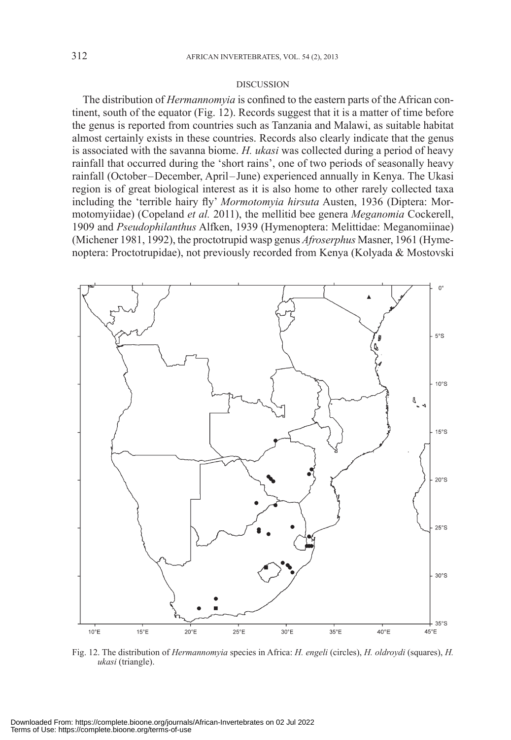#### DISCUSSION

The distribution of *Hermannomyia* is confined to the eastern parts of the African continent, south of the equator (Fig. 12). Records suggest that it is a matter of time be fore the genus is reported from countries such as Tanzania and Malawi, as suitable habitat almost certainly exists in these countries. Records also clearly indicate that the genus is associated with the savanna biome. *H. ukasi* was collected during a period of heavy rainfall that occurred during the 'short rains', one of two periods of seasonally heavy rainfall (October–December, April–June) experienced annually in Kenya. The Ukasi region is of great biological interest as it is also home to other rarely collected taxa in cluding the 'terrible hairy fly' *Mormotomyia hirsuta* Austen, 1936 (Diptera: Mormotomyiidae) (Copeland *et al.* 2011), the mellitid bee genera *Meganomia* Cockerell, 1909 and *Pseudophilanthus* Alfken, 1939 (Hymenoptera: Melittidae: Meganomiinae) (Michener 1981, 1992), the proctotrupid wasp genus *Afroserphus* Masner, 1961 (Hymenoptera: Proctotrupidae), not previously recorded from Kenya (Kolyada & Mostovski



Fig. 12. The distribution of *Hermannomyia* species in Africa: *H. engeli* (circles), *H. oldroydi* (squares), *H. ukasi* (triangle).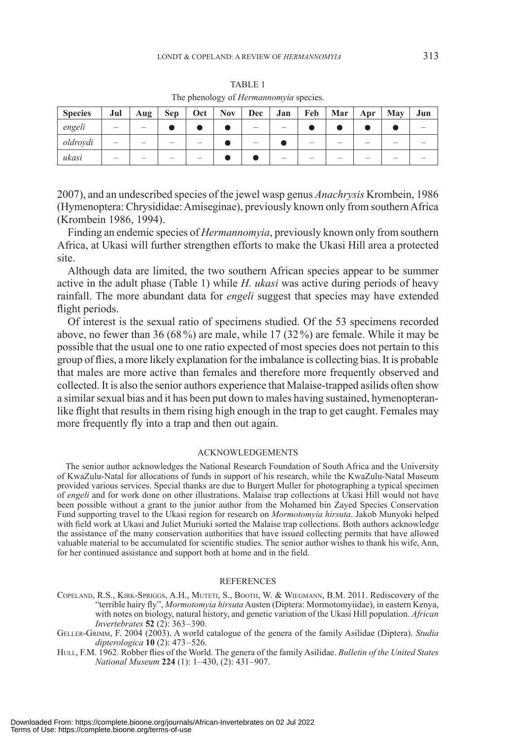| ۰.<br>v<br>× |  |
|--------------|--|
|              |  |

| <b>Species</b> | Jul | Aug | <b>Sep</b> | Oct | <b>Nov</b> | Dec | Jan | Feb | Mar | Apr | May | Jun |
|----------------|-----|-----|------------|-----|------------|-----|-----|-----|-----|-----|-----|-----|
| engeli         |     |     |            |     |            |     |     |     |     |     |     |     |
| oldroydi       |     |     |            |     |            |     |     |     |     |     |     |     |
| ukasi          |     |     |            |     |            |     |     |     |     |     |     |     |

TABLE 1 The phenology of *Hermannomyia* species.

2007), and an undescribed species of the jewel wasp genus *Anachrysis* Krombein, 1986 (Hymenoptera: Chrysididae: Amiseginae), previously known only from southern Africa (Krombein 1986, 1994).

Finding an endemic species of *Hermannomyia*, previously known only from southern Africa, at Ukasi will further strengthen efforts to make the Ukasi Hill area a protected site.

Although data are limited, the two southern African species appear to be summer active in the adult phase (Table 1) while *H. ukasi* was active during periods of heavy rain fall. The more abundant data for *engeli* suggest that species may have extended flight periods.

Of interest is the sexual ratio of specimens studied. Of the 53 specimens recorded above, no fewer than 36 (68 %) are male, while 17 (32 %) are female. While it may be possible that the usual one to one ratio expected of most species does not pertain to this group of flies, a more likely explanation for the imbalance is collecting bias. It is probable that males are more active than females and therefore more frequently observed and collected. It is also the senior authors experience that Malaise-trapped asilids often show a similar sexual bias and it has been put down to males having sustained, hymenopteranlike flight that results in them rising high enough in the trap to get caught. Females may more frequently fly into a trap and then out again.

#### ACKNOWLEDGEMENTS

The senior author acknowledges the National Research Foundation of South Africa and the University of KwaZulu-Natal for allocations of funds in support of his research, while the KwaZulu-Natal Museum provided various services. Special thanks are due to Burgert Muller for photographing a typical specimen of *engeli* and for work done on other illustrations. Malaise trap collections at Ukasi Hill would not have been possible without a grant to the junior author from the Mohamed bin Zayed Species Conservation Fund supporting travel to the Ukasi region for research on *Mormotomyia hirsuta*. Jakob Munyoki helped with field work at Ukasi and Juliet Muriuki sorted the Malaise trap collections. Both authors acknowledge the assistance of the many conservation authorities that have issued collecting permits that have allowed va luable material to be accumulated for scientific studies. The senior author wishes to thank his wife, Ann, for her continued assistance and support both at home and in the field.

#### REFERENCES

COPELAND, R.S., KIRK-SPRIGGS, A.H., MUTETI, S., BOOTH, W. & WIEGMANN, B.M. 2011. Rediscovery of the "terrible hairy fly", *Mormotomyia hirsuta* Austen (Diptera: Mormotomyiidae), in eastern Kenya, with notes on biology, natural history, and genetic variation of the Ukasi Hill population. *African Invertebrates* **52** (2): 363–390.

GELLER-GRIMM, F. 2004 (2003). A world catalogue of the genera of the family Asilidae (Diptera). *Studia dip terologica* **10** (2): 473–526.

HULL, F.M. 1962. Robber flies of the World. The genera of the family Asilidae. *Bulletin of the United States Na tional Museum* **224** (1): 1–430, (2): 431–907.